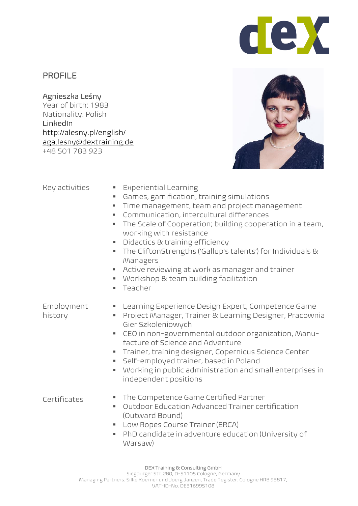

## PROFILE

Agnieszka Leśny Year of birth: 1983 Nationality: Polish [LinkedIn](https://www.linkedin.com/in/agnes-lesny/) http://alesny.pl/english/ [aga.lesny@dextraining.de](mailto:aga.lesny@gmail.com) +48 501 783 923



| Key activities        | <b>Experiential Learning</b><br>×,<br>Games, gamification, training simulations<br>×,<br>Time management, team and project management<br>Communication, intercultural differences<br>٠<br>The Scale of Cooperation; building cooperation in a team,<br>ш<br>working with resistance<br>Didactics & training efficiency<br>Е<br>The CliftonStrengths ('Gallup's talents') for Individuals &<br>ш<br>Managers<br>Active reviewing at work as manager and trainer<br>Workshop & team building facilitation<br>Teacher<br>٠ |
|-----------------------|-------------------------------------------------------------------------------------------------------------------------------------------------------------------------------------------------------------------------------------------------------------------------------------------------------------------------------------------------------------------------------------------------------------------------------------------------------------------------------------------------------------------------|
| Employment<br>history | Learning Experience Design Expert, Competence Game<br>Е<br>Project Manager, Trainer & Learning Designer, Pracownia<br>ш<br>Gier Szkoleniowych<br>CEO in non-governmental outdoor organization, Manu-<br>ш<br>facture of Science and Adventure<br>Trainer, training designer, Copernicus Science Center<br>ш<br>Self-employed trainer, based in Poland<br>ш<br>Working in public administration and small enterprises in<br>g,<br>independent positions                                                                  |
| Certificates          | The Competence Game Certified Partner<br>ш<br>Outdoor Education Advanced Trainer certification<br>٠<br>(Outward Bound)<br>Low Ropes Course Trainer (ERCA)<br>PhD candidate in adventure education (University of<br>Warsaw)                                                                                                                                                                                                                                                                                             |